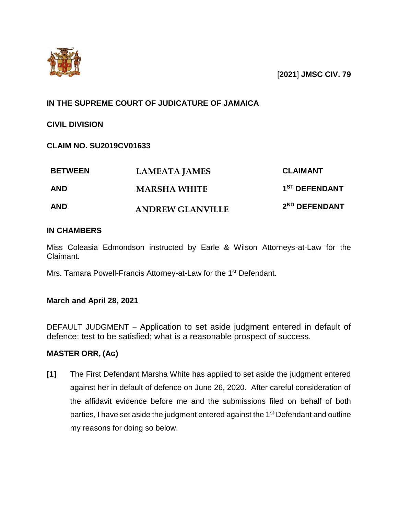

# **IN THE SUPREME COURT OF JUDICATURE OF JAMAICA**

**CIVIL DIVISION**

## **CLAIM NO. SU2019CV01633**

| <b>BETWEEN</b> | <b>LAMEATA JAMES</b>    | <b>CLAIMANT</b>           |
|----------------|-------------------------|---------------------------|
| <b>AND</b>     | <b>MARSHA WHITE</b>     | 1 <sup>ST</sup> DEFENDANT |
| <b>AND</b>     | <b>ANDREW GLANVILLE</b> | 2 <sup>ND</sup> DEFENDANT |

### **IN CHAMBERS**

Miss Coleasia Edmondson instructed by Earle & Wilson Attorneys-at-Law for the Claimant.

Mrs. Tamara Powell-Francis Attorney-at-Law for the 1<sup>st</sup> Defendant.

### **March and April 28, 2021**

DEFAULT JUDGMENT – Application to set aside judgment entered in default of defence; test to be satisfied; what is a reasonable prospect of success.

### **MASTER ORR, (AG)**

**[1]** The First Defendant Marsha White has applied to set aside the judgment entered against her in default of defence on June 26, 2020. After careful consideration of the affidavit evidence before me and the submissions filed on behalf of both parties, I have set aside the judgment entered against the 1<sup>st</sup> Defendant and outline my reasons for doing so below.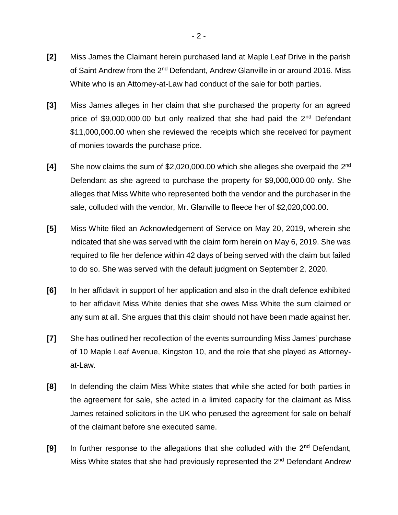- **[2]** Miss James the Claimant herein purchased land at Maple Leaf Drive in the parish of Saint Andrew from the 2<sup>nd</sup> Defendant, Andrew Glanville in or around 2016. Miss White who is an Attorney-at-Law had conduct of the sale for both parties.
- **[3]** Miss James alleges in her claim that she purchased the property for an agreed price of \$9,000,000.00 but only realized that she had paid the  $2<sup>nd</sup>$  Defendant \$11,000,000.00 when she reviewed the receipts which she received for payment of monies towards the purchase price.
- **[4]** She now claims the sum of \$2,020,000.00 which she alleges she overpaid the 2nd Defendant as she agreed to purchase the property for \$9,000,000.00 only. She alleges that Miss White who represented both the vendor and the purchaser in the sale, colluded with the vendor, Mr. Glanville to fleece her of \$2,020,000.00.
- **[5]** Miss White filed an Acknowledgement of Service on May 20, 2019, wherein she indicated that she was served with the claim form herein on May 6, 2019. She was required to file her defence within 42 days of being served with the claim but failed to do so. She was served with the default judgment on September 2, 2020.
- **[6]** In her affidavit in support of her application and also in the draft defence exhibited to her affidavit Miss White denies that she owes Miss White the sum claimed or any sum at all. She argues that this claim should not have been made against her.
- **[7]** She has outlined her recollection of the events surrounding Miss James' purchase of 10 Maple Leaf Avenue, Kingston 10, and the role that she played as Attorneyat-Law.
- **[8]** In defending the claim Miss White states that while she acted for both parties in the agreement for sale, she acted in a limited capacity for the claimant as Miss James retained solicitors in the UK who perused the agreement for sale on behalf of the claimant before she executed same.
- **[9]** In further response to the allegations that she colluded with the 2nd Defendant, Miss White states that she had previously represented the 2<sup>nd</sup> Defendant Andrew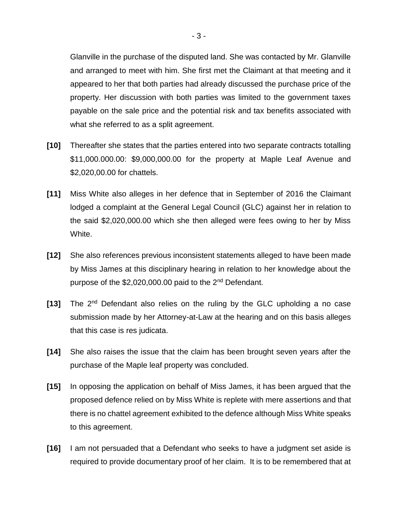Glanville in the purchase of the disputed land. She was contacted by Mr. Glanville and arranged to meet with him. She first met the Claimant at that meeting and it appeared to her that both parties had already discussed the purchase price of the property. Her discussion with both parties was limited to the government taxes payable on the sale price and the potential risk and tax benefits associated with what she referred to as a split agreement.

- **[10]** Thereafter she states that the parties entered into two separate contracts totalling \$11,000.000.00: \$9,000,000.00 for the property at Maple Leaf Avenue and \$2,020,00.00 for chattels.
- **[11]** Miss White also alleges in her defence that in September of 2016 the Claimant lodged a complaint at the General Legal Council (GLC) against her in relation to the said \$2,020,000.00 which she then alleged were fees owing to her by Miss White.
- **[12]** She also references previous inconsistent statements alleged to have been made by Miss James at this disciplinary hearing in relation to her knowledge about the purpose of the \$2,020,000.00 paid to the 2<sup>nd</sup> Defendant.
- **[13]** The 2nd Defendant also relies on the ruling by the GLC upholding a no case submission made by her Attorney-at-Law at the hearing and on this basis alleges that this case is res judicata.
- **[14]** She also raises the issue that the claim has been brought seven years after the purchase of the Maple leaf property was concluded.
- **[15]** In opposing the application on behalf of Miss James, it has been argued that the proposed defence relied on by Miss White is replete with mere assertions and that there is no chattel agreement exhibited to the defence although Miss White speaks to this agreement.
- **[16]** I am not persuaded that a Defendant who seeks to have a judgment set aside is required to provide documentary proof of her claim. It is to be remembered that at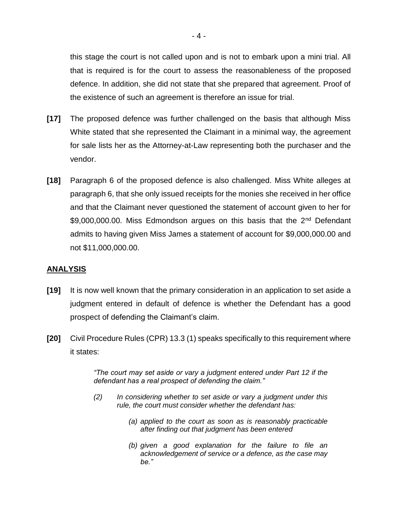this stage the court is not called upon and is not to embark upon a mini trial. All that is required is for the court to assess the reasonableness of the proposed defence. In addition, she did not state that she prepared that agreement. Proof of the existence of such an agreement is therefore an issue for trial.

- **[17]** The proposed defence was further challenged on the basis that although Miss White stated that she represented the Claimant in a minimal way, the agreement for sale lists her as the Attorney-at-Law representing both the purchaser and the vendor.
- **[18]** Paragraph 6 of the proposed defence is also challenged. Miss White alleges at paragraph 6, that she only issued receipts for the monies she received in her office and that the Claimant never questioned the statement of account given to her for \$9,000,000.00. Miss Edmondson argues on this basis that the 2<sup>nd</sup> Defendant admits to having given Miss James a statement of account for \$9,000,000.00 and not \$11,000,000.00.

#### **ANALYSIS**

- **[19]** It is now well known that the primary consideration in an application to set aside a judgment entered in default of defence is whether the Defendant has a good prospect of defending the Claimant's claim.
- **[20]** Civil Procedure Rules (CPR) 13.3 (1) speaks specifically to this requirement where it states:

*"The court may set aside or vary a judgment entered under Part 12 if the defendant has a real prospect of defending the claim."*

- *(2) In considering whether to set aside or vary a judgment under this rule, the court must consider whether the defendant has:*
	- *(a) applied to the court as soon as is reasonably practicable after finding out that judgment has been entered*
	- *(b) given a good explanation for the failure to file an acknowledgement of service or a defence, as the case may be."*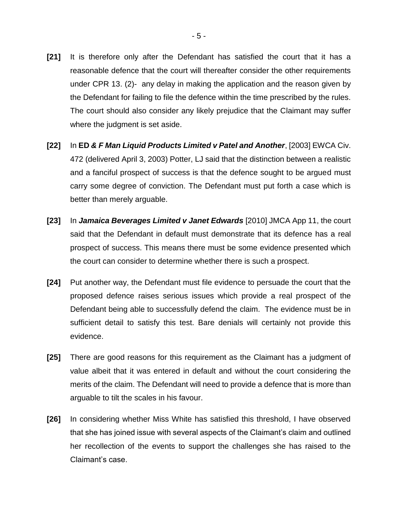- **[21]** It is therefore only after the Defendant has satisfied the court that it has a reasonable defence that the court will thereafter consider the other requirements under CPR 13. (2)- any delay in making the application and the reason given by the Defendant for failing to file the defence within the time prescribed by the rules. The court should also consider any likely prejudice that the Claimant may suffer where the judgment is set aside.
- **[22]** In **ED** *& F Man Liquid Products Limited v Patel and Another*, [2003] EWCA Civ. 472 (delivered April 3, 2003) Potter, LJ said that the distinction between a realistic and a fanciful prospect of success is that the defence sought to be argued must carry some degree of conviction. The Defendant must put forth a case which is better than merely arguable.
- **[23]** In *Jamaica Beverages Limited v Janet Edwards* [2010] JMCA App 11, the court said that the Defendant in default must demonstrate that its defence has a real prospect of success. This means there must be some evidence presented which the court can consider to determine whether there is such a prospect.
- **[24]** Put another way, the Defendant must file evidence to persuade the court that the proposed defence raises serious issues which provide a real prospect of the Defendant being able to successfully defend the claim. The evidence must be in sufficient detail to satisfy this test. Bare denials will certainly not provide this evidence.
- **[25]** There are good reasons for this requirement as the Claimant has a judgment of value albeit that it was entered in default and without the court considering the merits of the claim. The Defendant will need to provide a defence that is more than arguable to tilt the scales in his favour.
- **[26]** In considering whether Miss White has satisfied this threshold, I have observed that she has joined issue with several aspects of the Claimant's claim and outlined her recollection of the events to support the challenges she has raised to the Claimant's case.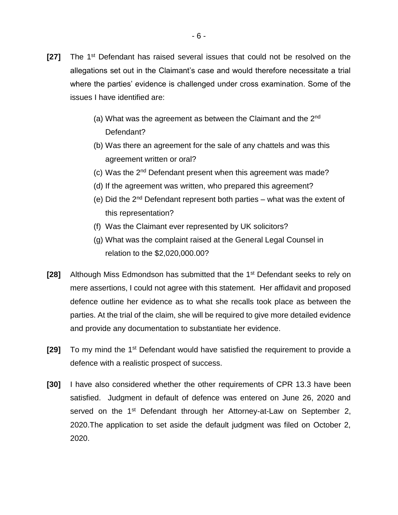- **[27]** The 1st Defendant has raised several issues that could not be resolved on the allegations set out in the Claimant's case and would therefore necessitate a trial where the parties' evidence is challenged under cross examination. Some of the issues I have identified are:
	- (a) What was the agreement as between the Claimant and the  $2<sup>nd</sup>$ Defendant?
	- (b) Was there an agreement for the sale of any chattels and was this agreement written or oral?
	- (c) Was the 2nd Defendant present when this agreement was made?
	- (d) If the agreement was written, who prepared this agreement?
	- (e) Did the  $2<sup>nd</sup>$  Defendant represent both parties what was the extent of this representation?
	- (f) Was the Claimant ever represented by UK solicitors?
	- (g) What was the complaint raised at the General Legal Counsel in relation to the \$2,020,000.00?
- **[28]** Although Miss Edmondson has submitted that the 1st Defendant seeks to rely on mere assertions, I could not agree with this statement. Her affidavit and proposed defence outline her evidence as to what she recalls took place as between the parties. At the trial of the claim, she will be required to give more detailed evidence and provide any documentation to substantiate her evidence.
- **[29]** To my mind the 1st Defendant would have satisfied the requirement to provide a defence with a realistic prospect of success.
- **[30]** I have also considered whether the other requirements of CPR 13.3 have been satisfied. Judgment in default of defence was entered on June 26, 2020 and served on the 1<sup>st</sup> Defendant through her Attorney-at-Law on September 2, 2020.The application to set aside the default judgment was filed on October 2, 2020.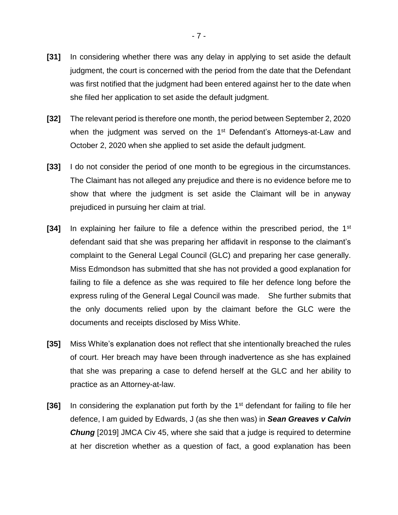- **[31]** In considering whether there was any delay in applying to set aside the default judgment, the court is concerned with the period from the date that the Defendant was first notified that the judgment had been entered against her to the date when she filed her application to set aside the default judgment.
- **[32]** The relevant period is therefore one month, the period between September 2, 2020 when the judgment was served on the 1<sup>st</sup> Defendant's Attorneys-at-Law and October 2, 2020 when she applied to set aside the default judgment.
- **[33]** I do not consider the period of one month to be egregious in the circumstances. The Claimant has not alleged any prejudice and there is no evidence before me to show that where the judgment is set aside the Claimant will be in anyway prejudiced in pursuing her claim at trial.
- **[34]** In explaining her failure to file a defence within the prescribed period, the 1st defendant said that she was preparing her affidavit in response to the claimant's complaint to the General Legal Council (GLC) and preparing her case generally. Miss Edmondson has submitted that she has not provided a good explanation for failing to file a defence as she was required to file her defence long before the express ruling of the General Legal Council was made. She further submits that the only documents relied upon by the claimant before the GLC were the documents and receipts disclosed by Miss White.
- **[35]** Miss White's explanation does not reflect that she intentionally breached the rules of court. Her breach may have been through inadvertence as she has explained that she was preparing a case to defend herself at the GLC and her ability to practice as an Attorney-at-law.
- **[36]** In considering the explanation put forth by the 1<sup>st</sup> defendant for failing to file her defence, I am guided by Edwards, J (as she then was) in *Sean Greaves v Calvin Chung* [2019] JMCA Civ 45, where she said that a judge is required to determine at her discretion whether as a question of fact, a good explanation has been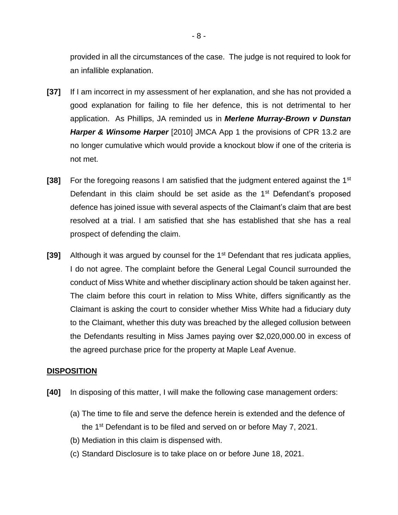provided in all the circumstances of the case. The judge is not required to look for an infallible explanation.

- **[37]** If I am incorrect in my assessment of her explanation, and she has not provided a good explanation for failing to file her defence, this is not detrimental to her application. As Phillips, JA reminded us in *Merlene Murray-Brown v Dunstan Harper & Winsome Harper* [2010] JMCA App 1 the provisions of CPR 13.2 are no longer cumulative which would provide a knockout blow if one of the criteria is not met.
- **[38]** For the foregoing reasons I am satisfied that the judgment entered against the 1st Defendant in this claim should be set aside as the  $1<sup>st</sup>$  Defendant's proposed defence has joined issue with several aspects of the Claimant's claim that are best resolved at a trial. I am satisfied that she has established that she has a real prospect of defending the claim.
- **[39]** Although it was argued by counsel for the 1<sup>st</sup> Defendant that res judicata applies, I do not agree. The complaint before the General Legal Council surrounded the conduct of Miss White and whether disciplinary action should be taken against her. The claim before this court in relation to Miss White, differs significantly as the Claimant is asking the court to consider whether Miss White had a fiduciary duty to the Claimant, whether this duty was breached by the alleged collusion between the Defendants resulting in Miss James paying over \$2,020,000.00 in excess of the agreed purchase price for the property at Maple Leaf Avenue.

#### **DISPOSITION**

- **[40]** In disposing of this matter, I will make the following case management orders:
	- (a) The time to file and serve the defence herein is extended and the defence of the 1st Defendant is to be filed and served on or before May 7, 2021.
	- (b) Mediation in this claim is dispensed with.
	- (c) Standard Disclosure is to take place on or before June 18, 2021.